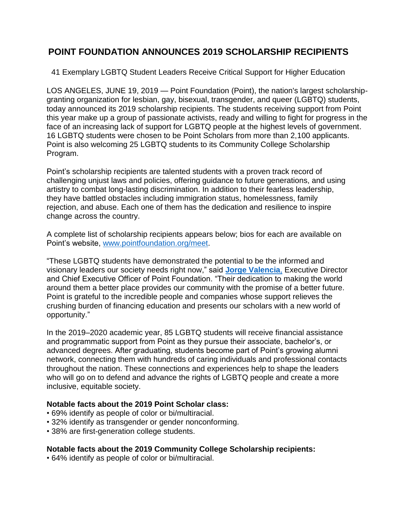# **POINT FOUNDATION ANNOUNCES 2019 SCHOLARSHIP RECIPIENTS**

41 Exemplary LGBTQ Student Leaders Receive Critical Support for Higher Education

LOS ANGELES, JUNE 19, 2019 — Point Foundation (Point), the nation's largest scholarshipgranting organization for lesbian, gay, bisexual, transgender, and queer (LGBTQ) students, today announced its 2019 scholarship recipients. The students receiving support from Point this year make up a group of passionate activists, ready and willing to fight for progress in the face of an increasing lack of support for LGBTQ people at the highest levels of government. 16 LGBTQ students were chosen to be Point Scholars from more than 2,100 applicants. Point is also welcoming 25 LGBTQ students to its Community College Scholarship Program.

Point's scholarship recipients are talented students with a proven track record of challenging unjust laws and policies, offering guidance to future generations, and using artistry to combat long-lasting discrimination. In addition to their fearless leadership, they have battled obstacles including immigration status, homelessness, family rejection, and abuse. Each one of them has the dedication and resilience to inspire change across the country.

A complete list of scholarship recipients appears below; bios for each are available on Point's website, [www.pointfoundation.org/meet.](https://pointfoundation.org/point-apply/meet-our-scholars/)

"These LGBTQ students have demonstrated the potential to be the informed and visionary leaders our society needs right now," said **[Jorge Valencia](https://pointfoundation.org/thepoint/jorge-valencia/)**, Executive Director and Chief Executive Officer of Point Foundation. "Their dedication to making the world around them a better place provides our community with the promise of a better future. Point is grateful to the incredible people and companies whose support relieves the crushing burden of financing education and presents our scholars with a new world of opportunity."

In the 2019–2020 academic year, 85 LGBTQ students will receive financial assistance and programmatic support from Point as they pursue their associate, bachelor's, or advanced degrees. After graduating, students become part of Point's growing alumni network, connecting them with hundreds of caring individuals and professional contacts throughout the nation. These connections and experiences help to shape the leaders who will go on to defend and advance the rights of LGBTQ people and create a more inclusive, equitable society.

### **Notable facts about the 2019 Point Scholar class:**

- 69% identify as people of color or bi/multiracial.
- 32% identify as transgender or gender nonconforming.
- 38% are first-generation college students.

#### **Notable facts about the 2019 Community College Scholarship recipients:**

• 64% identify as people of color or bi/multiracial.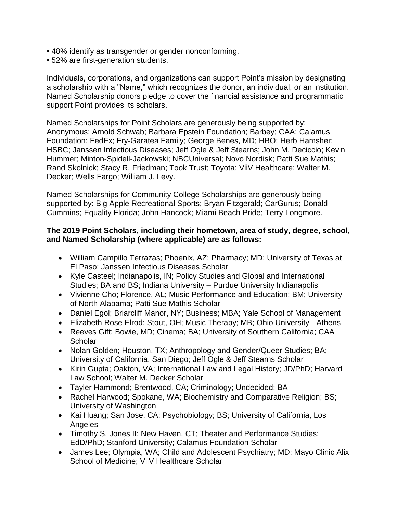- 48% identify as transgender or gender nonconforming.
- 52% are first-generation students.

Individuals, corporations, and organizations can support Point's mission by designating a scholarship with a "Name," which recognizes the donor, an individual, or an institution. Named Scholarship donors pledge to cover the financial assistance and programmatic support Point provides its scholars.

Named Scholarships for Point Scholars are generously being supported by: Anonymous; Arnold Schwab; Barbara Epstein Foundation; Barbey; CAA; Calamus Foundation; FedEx; Fry-Garatea Family; George Benes, MD; HBO; Herb Hamsher; HSBC; Janssen Infectious Diseases; Jeff Ogle & Jeff Stearns; John M. Deciccio; Kevin Hummer; Minton-Spidell-Jackowski; NBCUniversal; Novo Nordisk; Patti Sue Mathis; Rand Skolnick; Stacy R. Friedman; Took Trust; Toyota; ViiV Healthcare; Walter M. Decker; Wells Fargo; William J. Levy.

Named Scholarships for Community College Scholarships are generously being supported by: Big Apple Recreational Sports; Bryan Fitzgerald; CarGurus; Donald Cummins; Equality Florida; John Hancock; Miami Beach Pride; Terry Longmore.

#### **The 2019 Point Scholars, including their hometown, area of study, degree, school, and Named Scholarship (where applicable) are as follows:**

- William Campillo Terrazas; Phoenix, AZ; Pharmacy; MD; University of Texas at El Paso; Janssen Infectious Diseases Scholar
- Kyle Casteel; Indianapolis, IN; Policy Studies and Global and International Studies; BA and BS; Indiana University – Purdue University Indianapolis
- Vivienne Cho; Florence, AL; Music Performance and Education; BM; University of North Alabama; Patti Sue Mathis Scholar
- Daniel Egol; Briarcliff Manor, NY; Business; MBA; Yale School of Management
- Elizabeth Rose Elrod; Stout, OH; Music Therapy; MB; Ohio University Athens
- Reeves Gift; Bowie, MD; Cinema; BA; University of Southern California; CAA **Scholar**
- Nolan Golden; Houston, TX; Anthropology and Gender/Queer Studies; BA; University of California, San Diego; Jeff Ogle & Jeff Stearns Scholar
- Kirin Gupta; Oakton, VA; International Law and Legal History; JD/PhD; Harvard Law School; Walter M. Decker Scholar
- Tayler Hammond; Brentwood, CA; Criminology; Undecided; BA
- Rachel Harwood; Spokane, WA; Biochemistry and Comparative Religion; BS; University of Washington
- Kai Huang; San Jose, CA; Psychobiology; BS; University of California, Los Angeles
- Timothy S. Jones II; New Haven, CT; Theater and Performance Studies; EdD/PhD; Stanford University; Calamus Foundation Scholar
- James Lee; Olympia, WA; Child and Adolescent Psychiatry; MD; Mayo Clinic Alix School of Medicine; ViiV Healthcare Scholar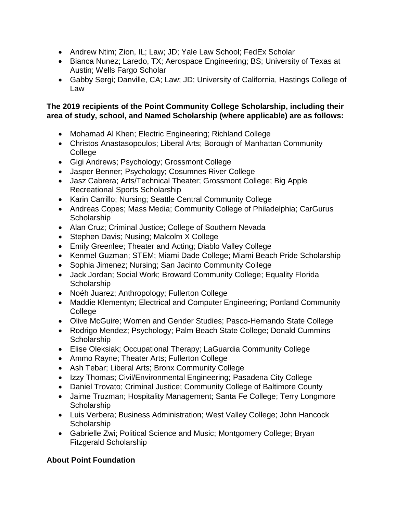- Andrew Ntim; Zion, IL; Law; JD; Yale Law School; FedEx Scholar
- Bianca Nunez; Laredo, TX; Aerospace Engineering; BS; University of Texas at Austin; Wells Fargo Scholar
- Gabby Sergi; Danville, CA; Law; JD; University of California, Hastings College of Law

## **The 2019 recipients of the Point Community College Scholarship, including their area of study, school, and Named Scholarship (where applicable) are as follows:**

- Mohamad Al Khen; Electric Engineering; Richland College
- Christos Anastasopoulos; Liberal Arts; Borough of Manhattan Community College
- Gigi Andrews; Psychology; Grossmont College
- Jasper Benner; Psychology; Cosumnes River College
- Jasz Cabrera; Arts/Technical Theater; Grossmont College; Big Apple Recreational Sports Scholarship
- Karin Carrillo; Nursing; Seattle Central Community College
- Andreas Copes; Mass Media; Community College of Philadelphia; CarGurus **Scholarship**
- Alan Cruz; Criminal Justice; College of Southern Nevada
- Stephen Davis; Nusing; Malcolm X College
- Emily Greenlee; Theater and Acting; Diablo Valley College
- Kenmel Guzman; STEM; Miami Dade College; Miami Beach Pride Scholarship
- Sophia Jimenez; Nursing; San Jacinto Community College
- Jack Jordan; Social Work; Broward Community College; Equality Florida **Scholarship**
- Noéh Juarez; Anthropology; Fullerton College
- Maddie Klementyn; Electrical and Computer Engineering; Portland Community **College**
- Olive McGuire; Women and Gender Studies; Pasco-Hernando State College
- Rodrigo Mendez; Psychology; Palm Beach State College; Donald Cummins **Scholarship**
- Elise Oleksiak; Occupational Therapy; LaGuardia Community College
- Ammo Rayne; Theater Arts; Fullerton College
- Ash Tebar; Liberal Arts; Bronx Community College
- Izzy Thomas; Civil/Environmental Engineering; Pasadena City College
- Daniel Trovato; Criminal Justice; Community College of Baltimore County
- Jaime Truzman; Hospitality Management; Santa Fe College; Terry Longmore **Scholarship**
- Luis Verbera; Business Administration; West Valley College; John Hancock **Scholarship**
- Gabrielle Zwi; Political Science and Music; Montgomery College; Bryan Fitzgerald Scholarship

## **About Point Foundation**